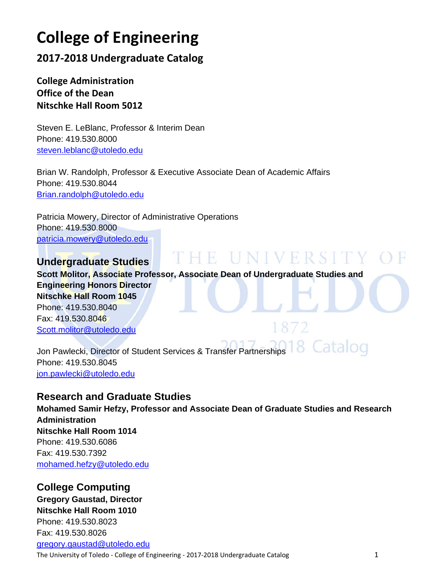## **College of Engineering**

## **2017‐2018 Undergraduate Catalog**

**College Administration Office of the Dean Nitschke Hall Room 5012**

Steven E. LeBlanc, Professor & Interim Dean Phone: 419.530.8000 steven.leblanc@utoledo.edu

Brian W. Randolph, Professor & Executive Associate Dean of Academic Affairs Phone: 419.530.8044 Brian.randolph@utoledo.edu

Patricia Mowery, Director of Administrative Operations Phone: 419.530.8000 patricia.mowery@utoledo.edu

## THE UNIVERSITY OF **Undergraduate Studies Scott Molitor, Associate Professor, Associate Dean of Undergraduate Studies and Engineering Honors Director Nitschke Hall Room 1045**  Phone: 419.530.8040 Fax: 419.530.8046 Scott.molitor@utoledo.edu

8 Catalog Jon Pawlecki, Director of Student Services & Transfer Partnerships Phone: 419.530.8045 jon.pawlecki@utoledo.edu

## **Research and Graduate Studies**

**Mohamed Samir Hefzy, Professor and Associate Dean of Graduate Studies and Research Administration Nitschke Hall Room 1014**  Phone: 419.530.6086 Fax: 419.530.7392 mohamed.hefzy@utoledo.edu

## **College Computing Gregory Gaustad, Director Nitschke Hall Room 1010**  Phone: 419.530.8023 Fax: 419.530.8026 gregory.gaustad@utoledo.edu

The University of Toledo - College of Engineering - 2017-2018 Undergraduate Catalog *1*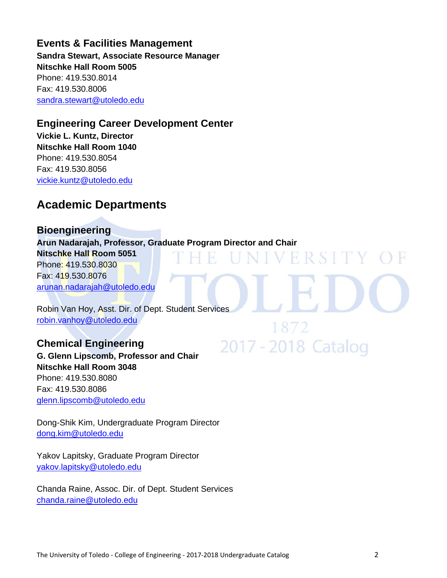## **Events & Facilities Management Sandra Stewart, Associate Resource Manager Nitschke Hall Room 5005**  Phone: 419.530.8014 Fax: 419.530.8006 sandra.stewart@utoledo.edu

## **Engineering Career Development Center**

**Vickie L. Kuntz, Director Nitschke Hall Room 1040**  Phone: 419.530.8054 Fax: 419.530.8056 vickie.kuntz@utoledo.edu

## **Academic Departments**

**Bioengineering Arun Nadarajah, Professor, Graduate Program Director and Chair Nitschke Hall Room 5051 UNIVERSITY** H R Phone: 419.530.8030 Fax: 419.530.8076 arunan.nadarajah@utoledo.edu

1872

2017 - 2018 Catalog

Robin Van Hoy, Asst. Dir. of Dept. Student Services robin.vanhoy@utoledo.edu

## **Chemical Engineering**

**G. Glenn Lipscomb, Professor and Chair Nitschke Hall Room 3048**  Phone: 419.530.8080 Fax: 419.530.8086 glenn.lipscomb@utoledo.edu

Dong-Shik Kim, Undergraduate Program Director dong.kim@utoledo.edu

Yakov Lapitsky, Graduate Program Director yakov.lapitsky@utoledo.edu

Chanda Raine, Assoc. Dir. of Dept. Student Services chanda.raine@utoledo.edu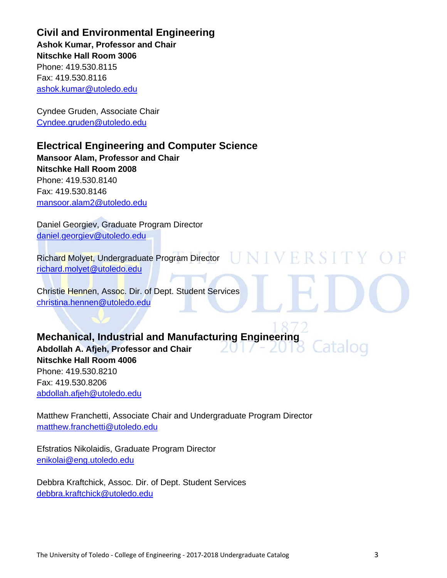## **Civil and Environmental Engineering**

**Ashok Kumar, Professor and Chair Nitschke Hall Room 3006**  Phone: 419.530.8115 Fax: 419.530.8116 ashok.kumar@utoledo.edu

Cyndee Gruden, Associate Chair Cyndee.gruden@utoledo.edu

**Electrical Engineering and Computer Science Mansoor Alam, Professor and Chair Nitschke Hall Room 2008**  Phone: 419.530.8140 Fax: 419.530.8146 mansoor.alam2@utoledo.edu

Daniel Georgiev, Graduate Program Director daniel.georgiev@utoledo.edu

Richard Molyet, Undergraduate Program Director NERST TY richard.molyet@utoledo.edu

Christie Hennen, Assoc. Dir. of Dept. Student Services christina.hennen@utoledo.edu

**Mechanical, Industrial and Manufacturing Engineering Abdollah A. Afjeh, Professor and Chair Nitschke Hall Room 4006**  Phone: 419.530.8210 Fax: 419.530.8206 abdollah.afjeh@utoledo.edu

Matthew Franchetti, Associate Chair and Undergraduate Program Director matthew.franchetti@utoledo.edu

Efstratios Nikolaidis, Graduate Program Director enikolai@eng.utoledo.edu

Debbra Kraftchick, Assoc. Dir. of Dept. Student Services debbra.kraftchick@utoledo.edu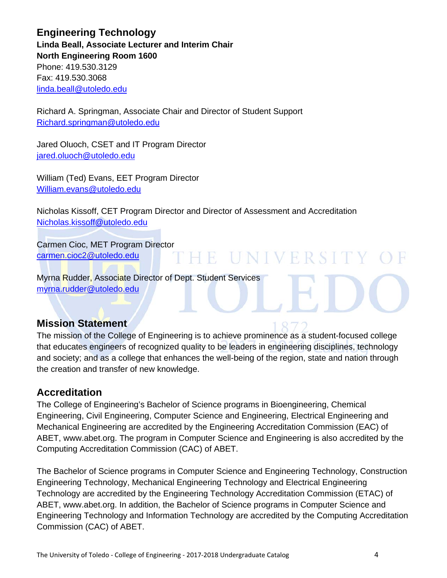## **Engineering Technology**

**Linda Beall, Associate Lecturer and Interim Chair North Engineering Room 1600** 

Phone: 419.530.3129 Fax: 419.530.3068 linda.beall@utoledo.edu

Richard A. Springman, Associate Chair and Director of Student Support Richard.springman@utoledo.edu

Jared Oluoch, CSET and IT Program Director jared.oluoch@utoledo.edu

William (Ted) Evans, EET Program Director William.evans@utoledo.edu

Nicholas Kissoff, CET Program Director and Director of Assessment and Accreditation Nicholas.kissoff@utoledo.edu

Carmen Cioc, MET Program Director carmen.cioc2@utoledo.edu

Myrna Rudder, Associate Director of Dept. Student Services myrna.rudder@utoledo.edu

## **Mission Statement**

The mission of the College of Engineering is to achieve prominence as a student-focused college that educates engineers of recognized quality to be leaders in engineering disciplines, technology and society; and as a college that enhances the well-being of the region, state and nation through the creation and transfer of new knowledge.

**HE UNIVERSITY** 

## **Accreditation**

The College of Engineering's Bachelor of Science programs in Bioengineering, Chemical Engineering, Civil Engineering, Computer Science and Engineering, Electrical Engineering and Mechanical Engineering are accredited by the Engineering Accreditation Commission (EAC) of ABET, www.abet.org. The program in Computer Science and Engineering is also accredited by the Computing Accreditation Commission (CAC) of ABET.

The Bachelor of Science programs in Computer Science and Engineering Technology, Construction Engineering Technology, Mechanical Engineering Technology and Electrical Engineering Technology are accredited by the Engineering Technology Accreditation Commission (ETAC) of ABET, www.abet.org. In addition, the Bachelor of Science programs in Computer Science and Engineering Technology and Information Technology are accredited by the Computing Accreditation Commission (CAC) of ABET.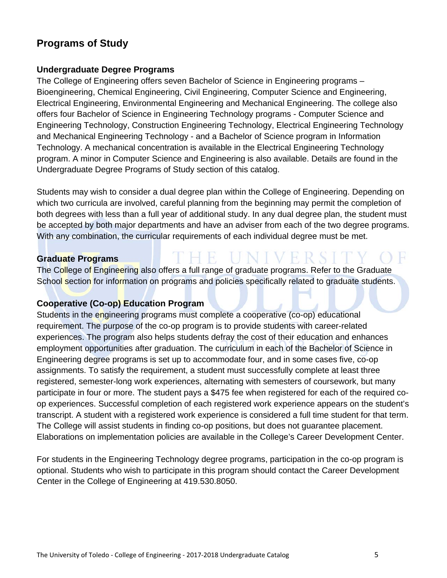## **Programs of Study**

#### **Undergraduate Degree Programs**

The College of Engineering offers seven Bachelor of Science in Engineering programs – Bioengineering, Chemical Engineering, Civil Engineering, Computer Science and Engineering, Electrical Engineering, Environmental Engineering and Mechanical Engineering. The college also offers four Bachelor of Science in Engineering Technology programs - Computer Science and Engineering Technology, Construction Engineering Technology, Electrical Engineering Technology and Mechanical Engineering Technology - and a Bachelor of Science program in Information Technology. A mechanical concentration is available in the Electrical Engineering Technology program. A minor in Computer Science and Engineering is also available. Details are found in the Undergraduate Degree Programs of Study section of this catalog.

Students may wish to consider a dual degree plan within the College of Engineering. Depending on which two curricula are involved, careful planning from the beginning may permit the completion of both degrees with less than a full year of additional study. In any dual degree plan, the student must be accepted by both major departments and have an adviser from each of the two degree programs. With any combination, the curricular requirements of each individual degree must be met.

THE UNIVERSITY

#### **Graduate Programs**

The College of Engineering also offers a full range of graduate programs. Refer to the Graduate School section for information on programs and policies specifically related to graduate students.

#### **Cooperative (Co-op) Education Program**

Students in the engineering programs must complete a cooperative (co-op) educational requirement. The purpose of the co-op program is to provide students with career-related experiences. The program also helps students defray the cost of their education and enhances employment opportunities after graduation. The curriculum in each of the Bachelor of Science in Engineering degree programs is set up to accommodate four, and in some cases five, co-op assignments. To satisfy the requirement, a student must successfully complete at least three registered, semester-long work experiences, alternating with semesters of coursework, but many participate in four or more. The student pays a \$475 fee when registered for each of the required coop experiences. Successful completion of each registered work experience appears on the student's transcript. A student with a registered work experience is considered a full time student for that term. The College will assist students in finding co-op positions, but does not guarantee placement. Elaborations on implementation policies are available in the College's Career Development Center.

For students in the Engineering Technology degree programs, participation in the co-op program is optional. Students who wish to participate in this program should contact the Career Development Center in the College of Engineering at 419.530.8050.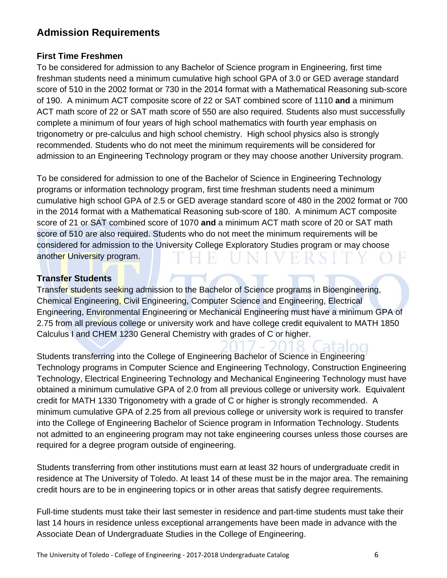## **Admission Requirements**

### **First Time Freshmen**

To be considered for admission to any Bachelor of Science program in Engineering, first time freshman students need a minimum cumulative high school GPA of 3.0 or GED average standard score of 510 in the 2002 format or 730 in the 2014 format with a Mathematical Reasoning sub-score of 190. A minimum ACT composite score of 22 or SAT combined score of 1110 **and** a minimum ACT math score of 22 or SAT math score of 550 are also required. Students also must successfully complete a minimum of four years of high school mathematics with fourth year emphasis on trigonometry or pre-calculus and high school chemistry. High school physics also is strongly recommended. Students who do not meet the minimum requirements will be considered for admission to an Engineering Technology program or they may choose another University program.

To be considered for admission to one of the Bachelor of Science in Engineering Technology programs or information technology program, first time freshman students need a minimum cumulative high school GPA of 2.5 or GED average standard score of 480 in the 2002 format or 700 in the 2014 format with a Mathematical Reasoning sub-score of 180. A minimum ACT composite score of 21 or SAT combined score of 1070 **and** a minimum ACT math score of 20 or SAT math score of 510 are also required. Students who do not meet the minimum requirements will be considered for admission to the University College Exploratory Studies program or may choose another University program.

#### **Transfer Students**

Transfer students seeking admission to the Bachelor of Science programs in Bioengineering, Chemical Engineering, Civil Engineering, Computer Science and Engineering, Electrical Engineering, Environmental Engineering or Mechanical Engineering must have a minimum GPA of 2.75 from all previous college or university work and have college credit equivalent to MATH 1850 Calculus I and CHEM 1230 General Chemistry with grades of C or higher.

Students transferring into the College of Engineering Bachelor of Science in Engineering Technology programs in Computer Science and Engineering Technology, Construction Engineering Technology, Electrical Engineering Technology and Mechanical Engineering Technology must have obtained a minimum cumulative GPA of 2.0 from all previous college or university work. Equivalent credit for MATH 1330 Trigonometry with a grade of C or higher is strongly recommended. A minimum cumulative GPA of 2.25 from all previous college or university work is required to transfer into the College of Engineering Bachelor of Science program in Information Technology. Students not admitted to an engineering program may not take engineering courses unless those courses are required for a degree program outside of engineering.

Students transferring from other institutions must earn at least 32 hours of undergraduate credit in residence at The University of Toledo. At least 14 of these must be in the major area. The remaining credit hours are to be in engineering topics or in other areas that satisfy degree requirements.

Full-time students must take their last semester in residence and part-time students must take their last 14 hours in residence unless exceptional arrangements have been made in advance with the Associate Dean of Undergraduate Studies in the College of Engineering.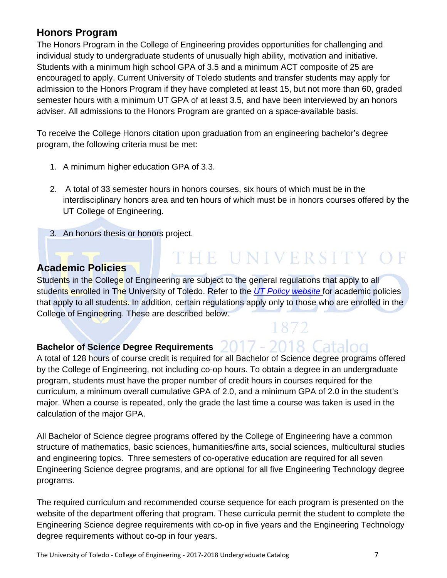## **Honors Program**

The Honors Program in the College of Engineering provides opportunities for challenging and individual study to undergraduate students of unusually high ability, motivation and initiative. Students with a minimum high school GPA of 3.5 and a minimum ACT composite of 25 are encouraged to apply. Current University of Toledo students and transfer students may apply for admission to the Honors Program if they have completed at least 15, but not more than 60, graded semester hours with a minimum UT GPA of at least 3.5, and have been interviewed by an honors adviser. All admissions to the Honors Program are granted on a space-available basis.

To receive the College Honors citation upon graduation from an engineering bachelor's degree program, the following criteria must be met:

- 1. A minimum higher education GPA of 3.3.
- 2. A total of 33 semester hours in honors courses, six hours of which must be in the interdisciplinary honors area and ten hours of which must be in honors courses offered by the UT College of Engineering.
- 3. An honors thesis or honors project.

## **Academic Policies**

# THE UNIVERSITY OF

1872

Students in the College of Engineering are subject to the general regulations that apply to all students enrolled in The University of Toledo. Refer to the *UT Policy website* for academic policies that apply to all students. In addition, certain regulations apply only to those who are enrolled in the College of Engineering. These are described below.

## **Bachelor of Science Degree Requirements** 2017 - 2018 Catalog

A total of 128 hours of course credit is required for all Bachelor of Science degree programs offered by the College of Engineering, not including co-op hours. To obtain a degree in an undergraduate program, students must have the proper number of credit hours in courses required for the curriculum, a minimum overall cumulative GPA of 2.0, and a minimum GPA of 2.0 in the student's major. When a course is repeated, only the grade the last time a course was taken is used in the calculation of the major GPA.

All Bachelor of Science degree programs offered by the College of Engineering have a common structure of mathematics, basic sciences, humanities/fine arts, social sciences, multicultural studies and engineering topics. Three semesters of co-operative education are required for all seven Engineering Science degree programs, and are optional for all five Engineering Technology degree programs.

The required curriculum and recommended course sequence for each program is presented on the website of the department offering that program. These curricula permit the student to complete the Engineering Science degree requirements with co-op in five years and the Engineering Technology degree requirements without co-op in four years.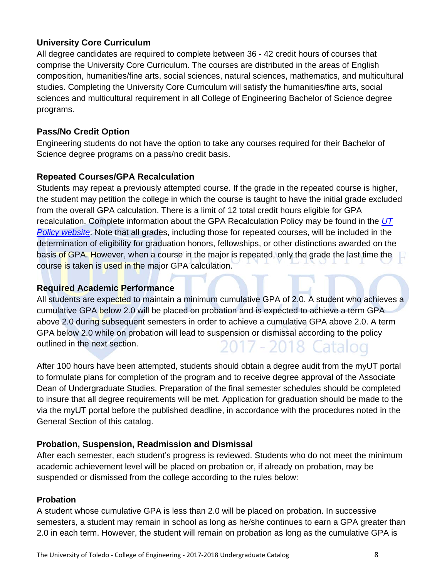## **University Core Curriculum**

All degree candidates are required to complete between 36 - 42 credit hours of courses that comprise the University Core Curriculum. The courses are distributed in the areas of English composition, humanities/fine arts, social sciences, natural sciences, mathematics, and multicultural studies. Completing the University Core Curriculum will satisfy the humanities/fine arts, social sciences and multicultural requirement in all College of Engineering Bachelor of Science degree programs.

## **Pass/No Credit Option**

Engineering students do not have the option to take any courses required for their Bachelor of Science degree programs on a pass/no credit basis.

## **Repeated Courses/GPA Recalculation**

Students may repeat a previously attempted course. If the grade in the repeated course is higher, the student may petition the college in which the course is taught to have the initial grade excluded from the overall GPA calculation. There is a limit of 12 total credit hours eligible for GPA recalculation. Complete information about the GPA Recalculation Policy may be found in the *UT Policy website*. Note that all grades, including those for repeated courses, will be included in the determination of eligibility for graduation honors, fellowships, or other distinctions awarded on the basis of GPA. However, when a course in the major is repeated, only the grade the last time the course is taken is used in the major GPA calculation.

#### **Required Academic Performance**

All students are expected to maintain a minimum cumulative GPA of 2.0. A student who achieves a cumulative GPA below 2.0 will be placed on probation and is expected to achieve a term GPA above 2.0 during subsequent semesters in order to achieve a cumulative GPA above 2.0. A term GPA below 2.0 while on probation will lead to suspension or dismissal according to the policy 2017 - 2018 Catalog outlined in the next section.

After 100 hours have been attempted, students should obtain a degree audit from the myUT portal to formulate plans for completion of the program and to receive degree approval of the Associate Dean of Undergraduate Studies. Preparation of the final semester schedules should be completed to insure that all degree requirements will be met. Application for graduation should be made to the via the myUT portal before the published deadline, in accordance with the procedures noted in the General Section of this catalog.

## **Probation, Suspension, Readmission and Dismissal**

After each semester, each student's progress is reviewed. Students who do not meet the minimum academic achievement level will be placed on probation or, if already on probation, may be suspended or dismissed from the college according to the rules below:

#### **Probation**

A student whose cumulative GPA is less than 2.0 will be placed on probation. In successive semesters, a student may remain in school as long as he/she continues to earn a GPA greater than 2.0 in each term. However, the student will remain on probation as long as the cumulative GPA is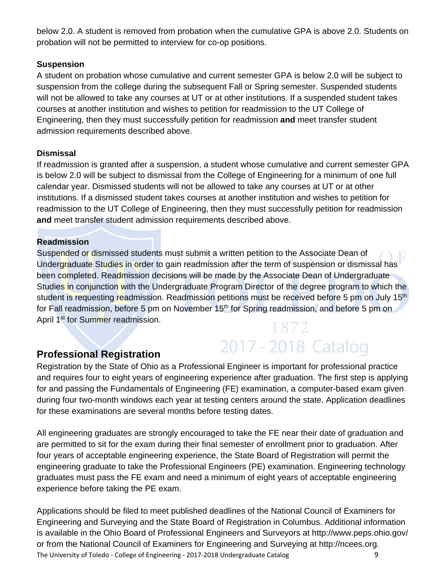below 2.0. A student is removed from probation when the cumulative GPA is above 2.0. Students on probation will not be permitted to interview for co-op positions.

#### **Suspension**

A student on probation whose cumulative and current semester GPA is below 2.0 will be subject to suspension from the college during the subsequent Fall or Spring semester. Suspended students will not be allowed to take any courses at UT or at other institutions. If a suspended student takes courses at another institution and wishes to petition for readmission to the UT College of Engineering, then they must successfully petition for readmission **and** meet transfer student admission requirements described above.

## **Dismissal**

If readmission is granted after a suspension, a student whose cumulative and current semester GPA is below 2.0 will be subject to dismissal from the College of Engineering for a minimum of one full calendar year. Dismissed students will not be allowed to take any courses at UT or at other institutions. If a dismissed student takes courses at another institution and wishes to petition for readmission to the UT College of Engineering, then they must successfully petition for readmission **and** meet transfer student admission requirements described above.

## **Readmission**

Suspended or dismissed students must submit a written petition to the Associate Dean of Undergraduate Studies in order to gain readmission after the term of suspension or dismissal has been completed. Readmission decisions will be made by the Associate Dean of Undergraduate Studies in conjunction with the Undergraduate Program Director of the degree program to which the student is requesting readmission. Readmission petitions must be received before 5 pm on July 15<sup>th</sup> for Fall readmission, before 5 pm on November 15<sup>th</sup> for Spring readmission, and before 5 pm on April 1<sup>st</sup> for Summer readmission.

## 1872 2017 - 2018 Catalog

## **Professional Registration**

Registration by the State of Ohio as a Professional Engineer is important for professional practice and requires four to eight years of engineering experience after graduation. The first step is applying for and passing the Fundamentals of Engineering (FE) examination, a computer-based exam given during four two-month windows each year at testing centers around the state. Application deadlines for these examinations are several months before testing dates.

All engineering graduates are strongly encouraged to take the FE near their date of graduation and are permitted to sit for the exam during their final semester of enrollment prior to graduation. After four years of acceptable engineering experience, the State Board of Registration will permit the engineering graduate to take the Professional Engineers (PE) examination. Engineering technology graduates must pass the FE exam and need a minimum of eight years of acceptable engineering experience before taking the PE exam.

The University of Toledo ‐ College of Engineering ‐ 2017‐2018 Undergraduate Catalog 9 Applications should be filed to meet published deadlines of the National Council of Examiners for Engineering and Surveying and the State Board of Registration in Columbus. Additional information is available in the Ohio Board of Professional Engineers and Surveyors at http://www.peps.ohio.gov/ or from the National Council of Examiners for Engineering and Surveying at http://ncees.org.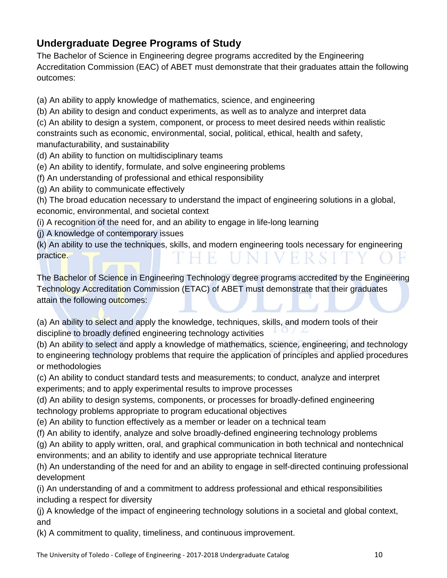## **Undergraduate Degree Programs of Study**

The Bachelor of Science in Engineering degree programs accredited by the Engineering Accreditation Commission (EAC) of ABET must demonstrate that their graduates attain the following outcomes:

(a) An ability to apply knowledge of mathematics, science, and engineering

(b) An ability to design and conduct experiments, as well as to analyze and interpret data

(c) An ability to design a system, component, or process to meet desired needs within realistic constraints such as economic, environmental, social, political, ethical, health and safety, manufacturability, and sustainability

- (d) An ability to function on multidisciplinary teams
- (e) An ability to identify, formulate, and solve engineering problems
- (f) An understanding of professional and ethical responsibility
- (g) An ability to communicate effectively

(h) The broad education necessary to understand the impact of engineering solutions in a global, economic, environmental, and societal context

(i) A recognition of the need for, and an ability to engage in life-long learning

(j) A knowledge of contemporary issues

(k) An ability to use the techniques, skills, and modern engineering tools necessary for engineering practice. E HNTVERS

The Bachelor of Science in Engineering Technology degree programs accredited by the Engineering Technology Accreditation Commission (ETAC) of ABET must demonstrate that their graduates attain the following outcomes:

(a) An ability to select and apply the knowledge, techniques, skills, and modern tools of their discipline to broadly defined engineering technology activities

(b) An ability to select and apply a knowledge of mathematics, science, engineering, and technology to engineering technology problems that require the application of principles and applied procedures or methodologies

(c) An ability to conduct standard tests and measurements; to conduct, analyze and interpret experiments; and to apply experimental results to improve processes

(d) An ability to design systems, components, or processes for broadly-defined engineering technology problems appropriate to program educational objectives

(e) An ability to function effectively as a member or leader on a technical team

(f) An ability to identify, analyze and solve broadly-defined engineering technology problems

(g) An ability to apply written, oral, and graphical communication in both technical and nontechnical environments; and an ability to identify and use appropriate technical literature

(h) An understanding of the need for and an ability to engage in self-directed continuing professional development

(i) An understanding of and a commitment to address professional and ethical responsibilities including a respect for diversity

(j) A knowledge of the impact of engineering technology solutions in a societal and global context, and

(k) A commitment to quality, timeliness, and continuous improvement.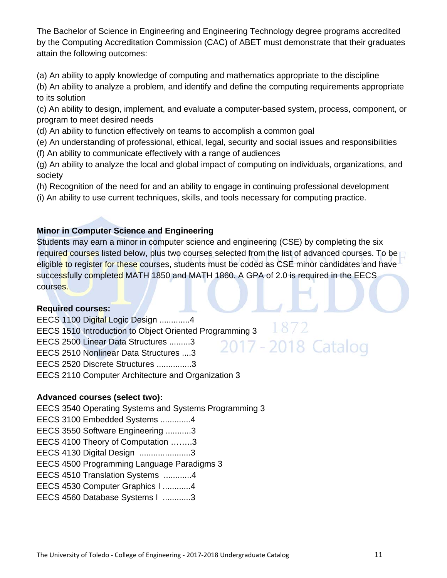The Bachelor of Science in Engineering and Engineering Technology degree programs accredited by the Computing Accreditation Commission (CAC) of ABET must demonstrate that their graduates attain the following outcomes:

(a) An ability to apply knowledge of computing and mathematics appropriate to the discipline

(b) An ability to analyze a problem, and identify and define the computing requirements appropriate to its solution

(c) An ability to design, implement, and evaluate a computer-based system, process, component, or program to meet desired needs

(d) An ability to function effectively on teams to accomplish a common goal

(e) An understanding of professional, ethical, legal, security and social issues and responsibilities

(f) An ability to communicate effectively with a range of audiences

(g) An ability to analyze the local and global impact of computing on individuals, organizations, and society

(h) Recognition of the need for and an ability to engage in continuing professional development

(i) An ability to use current techniques, skills, and tools necessary for computing practice.

## **Minor in Computer Science and Engineering**

Students may earn a minor in computer science and engineering (CSE) by completing the six required courses listed below, plus two courses selected from the list of advanced courses. To be eligible to register for these courses, students must be coded as CSE minor candidates and have successfully completed MATH 1850 and MATH 1860. A GPA of 2.0 is required in the EECS courses.

## **Required courses:**

EECS 1100 Digital Logic Design .............4 EECS 1510 Introduction to Object Oriented Programming 3 EECS 2500 Linear Data Structures .........3 2017 - 2018 Catalog EECS 2510 Nonlinear Data Structures ....3 EECS 2520 Discrete Structures ...............3 EECS 2110 Computer Architecture and Organization 3

## **Advanced courses (select two):**

EECS 3540 Operating Systems and Systems Programming 3 EECS 3100 Embedded Systems .............4 EECS 3550 Software Engineering ...........3 EECS 4100 Theory of Computation ……..3 EECS 4130 Digital Design ......................3 EECS 4500 Programming Language Paradigms 3 EECS 4510 Translation Systems ............4 EECS 4530 Computer Graphics I ............4 EECS 4560 Database Systems I ............3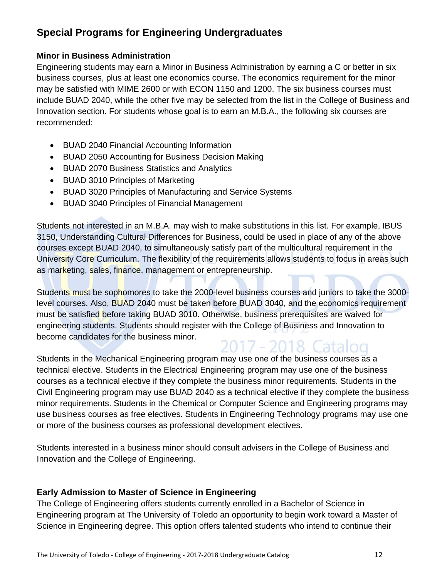## **Special Programs for Engineering Undergraduates**

## **Minor in Business Administration**

Engineering students may earn a Minor in Business Administration by earning a C or better in six business courses, plus at least one economics course. The economics requirement for the minor may be satisfied with MIME 2600 or with ECON 1150 and 1200. The six business courses must include BUAD 2040, while the other five may be selected from the list in the College of Business and Innovation section. For students whose goal is to earn an M.B.A., the following six courses are recommended:

- BUAD 2040 Financial Accounting Information
- BUAD 2050 Accounting for Business Decision Making
- BUAD 2070 Business Statistics and Analytics
- BUAD 3010 Principles of Marketing
- BUAD 3020 Principles of Manufacturing and Service Systems
- BUAD 3040 Principles of Financial Management

Students not interested in an M.B.A. may wish to make substitutions in this list. For example, IBUS 3150, Understanding Cultural Differences for Business, could be used in place of any of the above courses except BUAD 2040, to simultaneously satisfy part of the multicultural requirement in the University Core Curriculum. The flexibility of the requirements allows students to focus in areas such as marketing, sales, finance, management or entrepreneurship.

Students must be sophomores to take the 2000-level business courses and juniors to take the 3000level courses. Also, BUAD 2040 must be taken before BUAD 3040, and the economics requirement must be satisfied before taking BUAD 3010. Otherwise, business prerequisites are waived for engineering students. Students should register with the College of Business and Innovation to become candidates for the business minor.

2017 - 2018. Catal

Students in the Mechanical Engineering program may use one of the business courses as a technical elective. Students in the Electrical Engineering program may use one of the business courses as a technical elective if they complete the business minor requirements. Students in the Civil Engineering program may use BUAD 2040 as a technical elective if they complete the business minor requirements. Students in the Chemical or Computer Science and Engineering programs may use business courses as free electives. Students in Engineering Technology programs may use one or more of the business courses as professional development electives.

Students interested in a business minor should consult advisers in the College of Business and Innovation and the College of Engineering.

## **Early Admission to Master of Science in Engineering**

The College of Engineering offers students currently enrolled in a Bachelor of Science in Engineering program at The University of Toledo an opportunity to begin work toward a Master of Science in Engineering degree. This option offers talented students who intend to continue their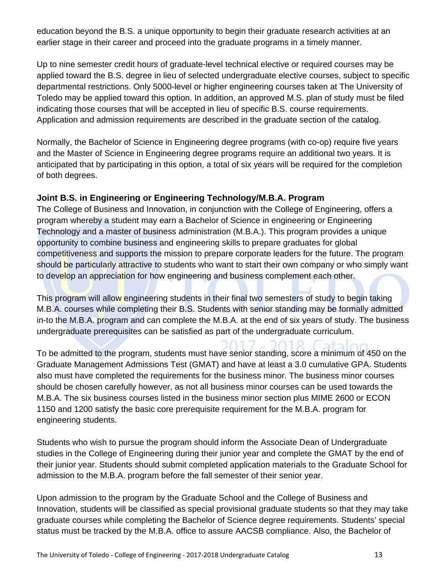education beyond the B.S. a unique opportunity to begin their graduate research activities at an earlier stage in their career and proceed into the graduate programs in a timely manner.

Up to nine semester credit hours of graduate-level technical elective or required courses may be applied toward the B.S. degree in lieu of selected undergraduate elective courses, subject to specific departmental restrictions. Only 5000-level or higher engineering courses taken at The University of Toledo may be applied toward this option. In addition, an approved M.S. plan of study must be filed indicating those courses that will be accepted in lieu of specific B.S. course requirements. Application and admission requirements are described in the graduate section of the catalog.

Normally, the Bachelor of Science in Engineering degree programs (with co-op) require five years and the Master of Science in Engineering degree programs require an additional two years. It is anticipated that by participating in this option, a total of six years will be required for the completion of both degrees.

## **Joint B.S. in Engineering or Engineering Technology/M.B.A. Program**

The College of Business and Innovation, in conjunction with the College of Engineering, offers a program whereby a student may earn a Bachelor of Science in engineering or Engineering Technology and a master of business administration (M.B.A.). This program provides a unique opportunity to combine business and engineering skills to prepare graduates for global competitiveness and supports the mission to prepare corporate leaders for the future. The program should be particularly attractive to students who want to start their own company or who simply want to develop an appreciation for how engineering and business complement each other.

This program will allow engineering students in their final two semesters of study to begin taking M.B.A. courses while completing their B.S. Students with senior standing may be formally admitted in-to the M.B.A. program and can complete the M.B.A. at the end of six years of study. The business undergraduate prerequisites can be satisfied as part of the undergraduate curriculum.

To be admitted to the program, students must have senior standing, score a minimum of 450 on the Graduate Management Admissions Test (GMAT) and have at least a 3.0 cumulative GPA. Students also must have completed the requirements for the business minor. The business minor courses should be chosen carefully however, as not all business minor courses can be used towards the M.B.A. The six business courses listed in the business minor section plus MIME 2600 or ECON 1150 and 1200 satisfy the basic core prerequisite requirement for the M.B.A. program for engineering students.

Students who wish to pursue the program should inform the Associate Dean of Undergraduate studies in the College of Engineering during their junior year and complete the GMAT by the end of their junior year. Students should submit completed application materials to the Graduate School for admission to the M.B.A. program before the fall semester of their senior year.

Upon admission to the program by the Graduate School and the College of Business and Innovation, students will be classified as special provisional graduate students so that they may take graduate courses while completing the Bachelor of Science degree requirements. Students' special status must be tracked by the M.B.A. office to assure AACSB compliance. Also, the Bachelor of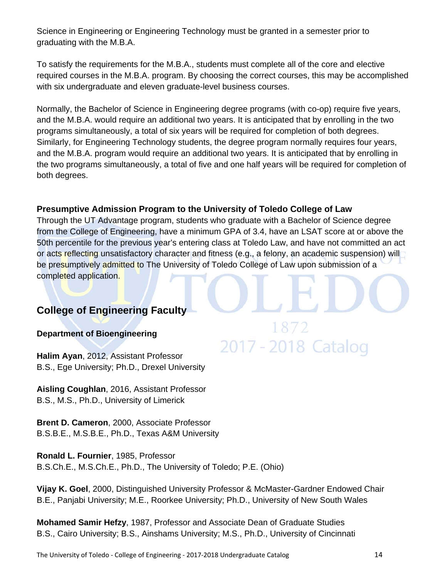Science in Engineering or Engineering Technology must be granted in a semester prior to graduating with the M.B.A.

To satisfy the requirements for the M.B.A., students must complete all of the core and elective required courses in the M.B.A. program. By choosing the correct courses, this may be accomplished with six undergraduate and eleven graduate-level business courses.

Normally, the Bachelor of Science in Engineering degree programs (with co-op) require five years, and the M.B.A. would require an additional two years. It is anticipated that by enrolling in the two programs simultaneously, a total of six years will be required for completion of both degrees. Similarly, for Engineering Technology students, the degree program normally requires four years, and the M.B.A. program would require an additional two years. It is anticipated that by enrolling in the two programs simultaneously, a total of five and one half years will be required for completion of both degrees.

## **Presumptive Admission Program to the University of Toledo College of Law**

Through the UT Advantage program, students who graduate with a Bachelor of Science degree from the College of Engineering, have a minimum GPA of 3.4, have an LSAT score at or above the 50th percentile for the previous year's entering class at Toledo Law, and have not committed an act or acts reflecting unsatisfactory character and fitness (e.g., a felony, an academic suspension) will be presumptively admitted to The University of Toledo College of Law upon submission of a completed application.

2017 - 2018 Catalog

## **College of Engineering Faculty**

**Department of Bioengineering** 

**Halim Ayan**, 2012, Assistant Professor B.S., Ege University; Ph.D., Drexel University

**Aisling Coughlan**, 2016, Assistant Professor B.S., M.S., Ph.D., University of Limerick

**Brent D. Cameron**, 2000, Associate Professor B.S.B.E., M.S.B.E., Ph.D., Texas A&M University

**Ronald L. Fournier**, 1985, Professor B.S.Ch.E., M.S.Ch.E., Ph.D., The University of Toledo; P.E. (Ohio)

**Vijay K. Goel**, 2000, Distinguished University Professor & McMaster-Gardner Endowed Chair B.E., Panjabi University; M.E., Roorkee University; Ph.D., University of New South Wales

**Mohamed Samir Hefzy**, 1987, Professor and Associate Dean of Graduate Studies B.S., Cairo University; B.S., Ainshams University; M.S., Ph.D., University of Cincinnati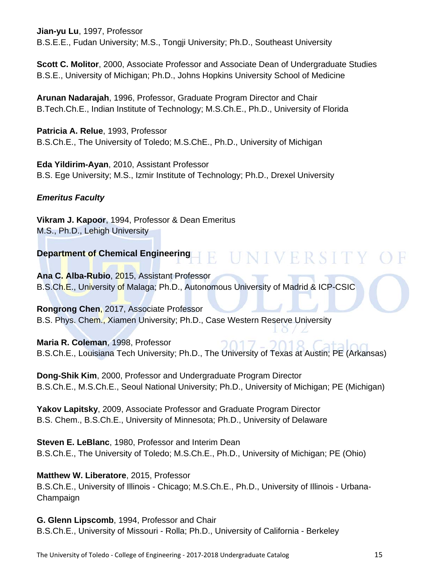**Jian-yu Lu**, 1997, Professor B.S.E.E., Fudan University; M.S., Tongji University; Ph.D., Southeast University

**Scott C. Molitor**, 2000, Associate Professor and Associate Dean of Undergraduate Studies B.S.E., University of Michigan; Ph.D., Johns Hopkins University School of Medicine

**Arunan Nadarajah**, 1996, Professor, Graduate Program Director and Chair B.Tech.Ch.E., Indian Institute of Technology; M.S.Ch.E., Ph.D., University of Florida

**Patricia A. Relue**, 1993, Professor B.S.Ch.E., The University of Toledo; M.S.ChE., Ph.D., University of Michigan

**Eda Yildirim-Ayan**, 2010, Assistant Professor B.S. Ege University; M.S., Izmir Institute of Technology; Ph.D., Drexel University

## *Emeritus Faculty*

**Vikram J. Kapoor**, 1994, Professor & Dean Emeritus M.S., Ph.D., Lehigh University

#### **Department of Chemical Engineering**  UNIVERSITY H.

**Ana C. Alba-Rubio**, 2015, Assistant Professor B.S.Ch.E., University of Malaga; Ph.D., Autonomous University of Madrid & ICP-CSIC

**Rongrong Chen**, 2017, Associate Professor B.S. Phys. Chem., Xiamen University; Ph.D., Case Western Reserve University

**Maria R. Coleman**, 1998, Professor B.S.Ch.E., Louisiana Tech University; Ph.D., The University of Texas at Austin; PE (Arkansas)

**Dong-Shik Kim**, 2000, Professor and Undergraduate Program Director B.S.Ch.E., M.S.Ch.E., Seoul National University; Ph.D., University of Michigan; PE (Michigan)

**Yakov Lapitsky**, 2009, Associate Professor and Graduate Program Director B.S. Chem., B.S.Ch.E., University of Minnesota; Ph.D., University of Delaware

**Steven E. LeBlanc**, 1980, Professor and Interim Dean B.S.Ch.E., The University of Toledo; M.S.Ch.E., Ph.D., University of Michigan; PE (Ohio)

**Matthew W. Liberatore**, 2015, Professor B.S.Ch.E., University of Illinois - Chicago; M.S.Ch.E., Ph.D., University of Illinois - Urbana-Champaign

**G. Glenn Lipscomb**, 1994, Professor and Chair B.S.Ch.E., University of Missouri - Rolla; Ph.D., University of California - Berkeley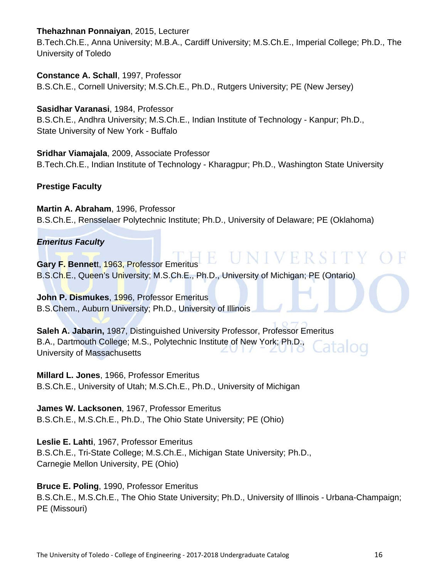#### **Thehazhnan Ponnaiyan**, 2015, Lecturer

B.Tech.Ch.E., Anna University; M.B.A., Cardiff University; M.S.Ch.E., Imperial College; Ph.D., The University of Toledo

#### **Constance A. Schall**, 1997, Professor

B.S.Ch.E., Cornell University; M.S.Ch.E., Ph.D., Rutgers University; PE (New Jersey)

#### **Sasidhar Varanasi**, 1984, Professor

B.S.Ch.E., Andhra University; M.S.Ch.E., Indian Institute of Technology - Kanpur; Ph.D., State University of New York - Buffalo

**Sridhar Viamajala**, 2009, Associate Professor B.Tech.Ch.E., Indian Institute of Technology - Kharagpur; Ph.D., Washington State University

#### **Prestige Faculty**

**Martin A. Abraham**, 1996, Professor B.S.Ch.E., Rensselaer Polytechnic Institute; Ph.D., University of Delaware; PE (Oklahoma)

#### *Emeritus Faculty*

E UNIVERSITY **Gary F. Bennet**t, 1963, Professor Emeritus B.S.Ch.E., Queen's University; M.S.Ch.E., Ph.D., University of Michigan; PE (Ontario)

**John P. Dismukes**, 1996, Professor Emeritus B.S.Chem., Auburn University; Ph.D., University of Illinois

**Saleh A. Jabarin,** 1987, Distinguished University Professor, Professor Emeritus B.A., Dartmouth College; M.S., Polytechnic Institute of New York; Ph.D., University of Massachusetts

**Millard L. Jones**, 1966, Professor Emeritus B.S.Ch.E., University of Utah; M.S.Ch.E., Ph.D., University of Michigan

**James W. Lacksonen**, 1967, Professor Emeritus B.S.Ch.E., M.S.Ch.E., Ph.D., The Ohio State University; PE (Ohio)

**Leslie E. Lahti**, 1967, Professor Emeritus B.S.Ch.E., Tri-State College; M.S.Ch.E., Michigan State University; Ph.D., Carnegie Mellon University, PE (Ohio)

**Bruce E. Poling**, 1990, Professor Emeritus B.S.Ch.E., M.S.Ch.E., The Ohio State University; Ph.D., University of Illinois - Urbana-Champaign; PE (Missouri)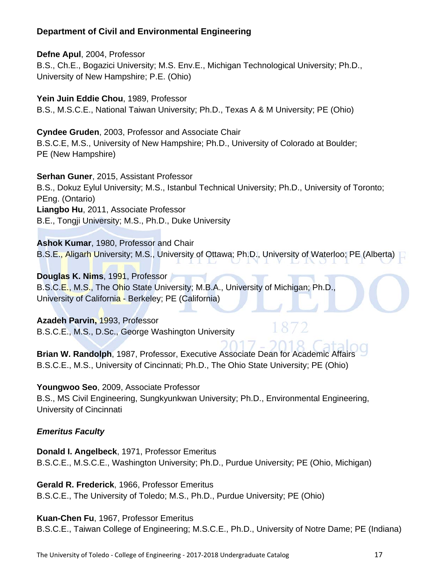## **Department of Civil and Environmental Engineering**

**Defne Apul**, 2004, Professor B.S., Ch.E., Bogazici University; M.S. Env.E., Michigan Technological University; Ph.D., University of New Hampshire; P.E. (Ohio)

**Yein Juin Eddie Chou**, 1989, Professor B.S., M.S.C.E., National Taiwan University; Ph.D., Texas A & M University; PE (Ohio)

**Cyndee Gruden**, 2003, Professor and Associate Chair B.S.C.E, M.S., University of New Hampshire; Ph.D., University of Colorado at Boulder; PE (New Hampshire)

**Serhan Guner**, 2015, Assistant Professor B.S., Dokuz Eylul University; M.S., Istanbul Technical University; Ph.D., University of Toronto; PEng. (Ontario) **Liangbo Hu**, 2011, Associate Professor B.E., Tongji University; M.S., Ph.D., Duke University

**Ashok Kumar**, 1980, Professor and Chair B.S.E., Aligarh University; M.S., University of Ottawa; Ph.D., University of Waterloo; PE (Alberta)

**Douglas K. Nims**, 1991, Professor B.S.C.E., M.S., The Ohio State University; M.B.A., University of Michigan; Ph.D., University of California - Berkeley; PE (California)

**Azadeh Parvin,** 1993, Professor B.S.C.E., M.S., D.Sc., George Washington University

**Brian W. Randolph**, 1987, Professor, Executive Associate Dean for Academic Affairs B.S.C.E., M.S., University of Cincinnati; Ph.D., The Ohio State University; PE (Ohio)

**Youngwoo Seo**, 2009, Associate Professor B.S., MS Civil Engineering, Sungkyunkwan University; Ph.D., Environmental Engineering, University of Cincinnati

## *Emeritus Faculty*

**Donald I. Angelbeck**, 1971, Professor Emeritus B.S.C.E., M.S.C.E., Washington University; Ph.D., Purdue University; PE (Ohio, Michigan)

**Gerald R. Frederick**, 1966, Professor Emeritus B.S.C.E., The University of Toledo; M.S., Ph.D., Purdue University; PE (Ohio)

**Kuan-Chen Fu**, 1967, Professor Emeritus B.S.C.E., Taiwan College of Engineering; M.S.C.E., Ph.D., University of Notre Dame; PE (Indiana)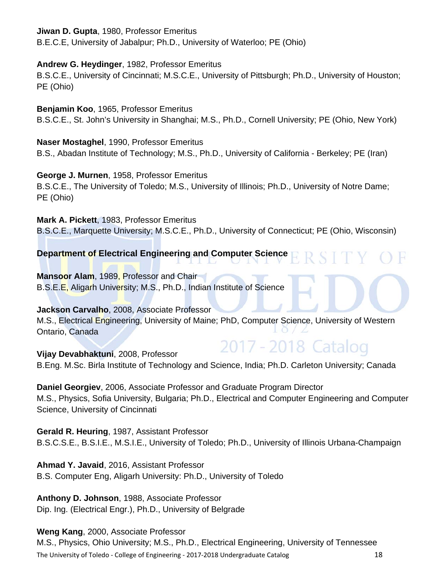**Jiwan D. Gupta**, 1980, Professor Emeritus

B.E.C.E, University of Jabalpur; Ph.D., University of Waterloo; PE (Ohio)

## **Andrew G. Heydinger**, 1982, Professor Emeritus

B.S.C.E., University of Cincinnati; M.S.C.E., University of Pittsburgh; Ph.D., University of Houston; PE (Ohio)

**Benjamin Koo**, 1965, Professor Emeritus B.S.C.E., St. John's University in Shanghai; M.S., Ph.D., Cornell University; PE (Ohio, New York)

**Naser Mostaghel**, 1990, Professor Emeritus B.S., Abadan Institute of Technology; M.S., Ph.D., University of California - Berkeley; PE (Iran)

**George J. Murnen**, 1958, Professor Emeritus

B.S.C.E., The University of Toledo; M.S., University of Illinois; Ph.D., University of Notre Dame; PE (Ohio)

**Mark A. Pickett**, 1983, Professor Emeritus B.S.C.E., Marquette University; M.S.C.E., Ph.D., University of Connecticut; PE (Ohio, Wisconsin)

**Department of Electrical Engineering and Computer Science** 

**Mansoor Alam, 1989, Professor and Chair** B.S.E.E, Aligarh University; M.S., Ph.D., Indian Institute of Science

**Jackson Carvalho**, 2008, Associate Professor M.S., Electrical Engineering, University of Maine; PhD, Computer Science, University of Western Ontario, Canada

2017 - 2018 Catalog **Vijay Devabhaktuni**, 2008, Professor B.Eng. M.Sc. Birla Institute of Technology and Science, India; Ph.D. Carleton University; Canada

**Daniel Georgiev**, 2006, Associate Professor and Graduate Program Director M.S., Physics, Sofia University, Bulgaria; Ph.D., Electrical and Computer Engineering and Computer Science, University of Cincinnati

**Gerald R. Heuring**, 1987, Assistant Professor B.S.C.S.E., B.S.I.E., M.S.I.E., University of Toledo; Ph.D., University of Illinois Urbana-Champaign

**Ahmad Y. Javaid**, 2016, Assistant Professor B.S. Computer Eng, Aligarh University: Ph.D., University of Toledo

**Anthony D. Johnson**, 1988, Associate Professor Dip. Ing. (Electrical Engr.), Ph.D., University of Belgrade

The University of Toledo - College of Engineering - 2017-2018 Undergraduate Catalog *Mathematics* 18 **Weng Kang**, 2000, Associate Professor M.S., Physics, Ohio University; M.S., Ph.D., Electrical Engineering, University of Tennessee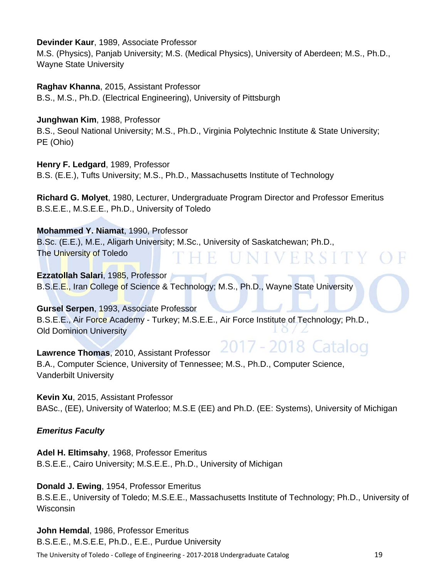**Devinder Kaur**, 1989, Associate Professor

M.S. (Physics), Panjab University; M.S. (Medical Physics), University of Aberdeen; M.S., Ph.D., Wayne State University

**Raghav Khanna**, 2015, Assistant Professor B.S., M.S., Ph.D. (Electrical Engineering), University of Pittsburgh

**Junghwan Kim**, 1988, Professor B.S., Seoul National University; M.S., Ph.D., Virginia Polytechnic Institute & State University; PE (Ohio)

**Henry F. Ledgard**, 1989, Professor B.S. (E.E.), Tufts University; M.S., Ph.D., Massachusetts Institute of Technology

**Richard G. Molyet**, 1980, Lecturer, Undergraduate Program Director and Professor Emeritus B.S.E.E., M.S.E.E., Ph.D., University of Toledo

## **Mohammed Y. Niamat**, 1990, Professor

B.Sc. (E.E.), M.E., Aligarh University; M.Sc., University of Saskatchewan; Ph.D., The University of Toledo Ħ. NIVERSIT

**Ezzatollah Salari**, 1985, Professor B.S.E.E., Iran College of Science & Technology; M.S., Ph.D., Wayne State University

**Gursel Serpen**, 1993, Associate Professor B.S.E.E., Air Force Academy - Turkey; M.S.E.E., Air Force Institute of Technology; Ph.D., Old Dominion University

#### 2017 - 2018 Catalog **Lawrence Thomas**, 2010, Assistant Professor B.A., Computer Science, University of Tennessee; M.S., Ph.D., Computer Science, Vanderbilt University

**Kevin Xu**, 2015, Assistant Professor BASc., (EE), University of Waterloo; M.S.E (EE) and Ph.D. (EE: Systems), University of Michigan

## *Emeritus Faculty*

**Adel H. Eltimsahy**, 1968, Professor Emeritus B.S.E.E., Cairo University; M.S.E.E., Ph.D., University of Michigan

**Donald J. Ewing**, 1954, Professor Emeritus B.S.E.E., University of Toledo; M.S.E.E., Massachusetts Institute of Technology; Ph.D., University of **Wisconsin** 

**John Hemdal**, 1986, Professor Emeritus B.S.E.E., M.S.E.E, Ph.D., E.E., Purdue University

The University of Toledo - College of Engineering - 2017-2018 Undergraduate Catalog *Mathematics* 19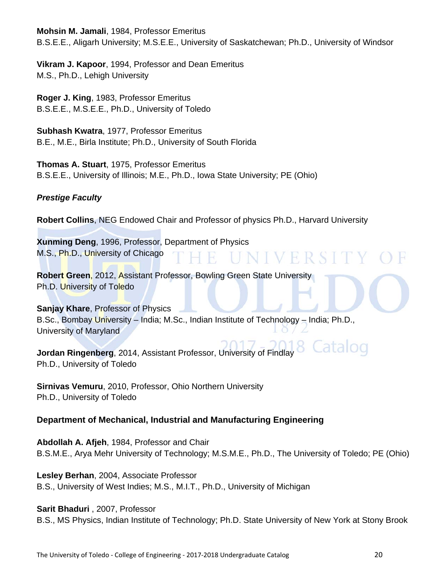**Mohsin M. Jamali**, 1984, Professor Emeritus B.S.E.E., Aligarh University; M.S.E.E., University of Saskatchewan; Ph.D., University of Windsor

**Vikram J. Kapoor**, 1994, Professor and Dean Emeritus M.S., Ph.D., Lehigh University

**Roger J. King**, 1983, Professor Emeritus B.S.E.E., M.S.E.E., Ph.D., University of Toledo

**Subhash Kwatra**, 1977, Professor Emeritus B.E., M.E., Birla Institute; Ph.D., University of South Florida

**Thomas A. Stuart**, 1975, Professor Emeritus B.S.E.E., University of Illinois; M.E., Ph.D., Iowa State University; PE (Ohio)

## *Prestige Faculty*

**Robert Collins**, NEG Endowed Chair and Professor of physics Ph.D., Harvard University

**Xunming Deng**, 1996, Professor, Department of Physics M.S., Ph.D., University of Chicago UNIVERS H

**Robert Green**, 2012, Assistant Professor, Bowling Green State University Ph.D. University of Toledo

**Sanjay Khare**, Professor of Physics B.Sc., Bombay University – India; M.Sc., Indian Institute of Technology – India; Ph.D., University of Maryland

Catalog **Jordan Ringenberg**, 2014, Assistant Professor, University of Findlay Ph.D., University of Toledo

**Sirnivas Vemuru**, 2010, Professor, Ohio Northern University Ph.D., University of Toledo

## **Department of Mechanical, Industrial and Manufacturing Engineering**

**Abdollah A. Afjeh**, 1984, Professor and Chair B.S.M.E., Arya Mehr University of Technology; M.S.M.E., Ph.D., The University of Toledo; PE (Ohio)

**Lesley Berhan**, 2004, Associate Professor B.S., University of West Indies; M.S., M.I.T., Ph.D., University of Michigan

#### **Sarit Bhaduri** , 2007, Professor

B.S., MS Physics, Indian Institute of Technology; Ph.D. State University of New York at Stony Brook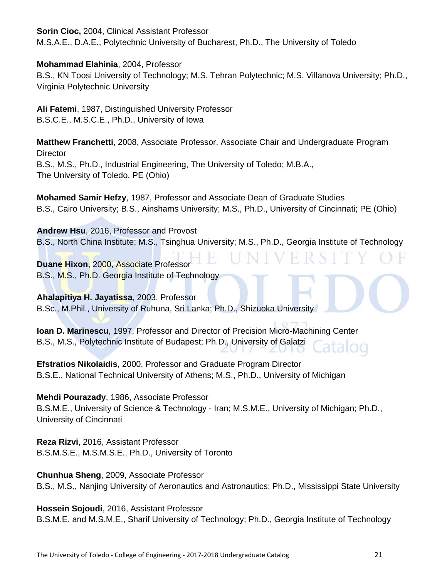**Sorin Cioc,** 2004, Clinical Assistant Professor

M.S.A.E., D.A.E., Polytechnic University of Bucharest, Ph.D., The University of Toledo

## **Mohammad Elahinia**, 2004, Professor

B.S., KN Toosi University of Technology; M.S. Tehran Polytechnic; M.S. Villanova University; Ph.D., Virginia Polytechnic University

**Ali Fatemi**, 1987, Distinguished University Professor B.S.C.E., M.S.C.E., Ph.D., University of Iowa

**Matthew Franchetti**, 2008, Associate Professor, Associate Chair and Undergraduate Program **Director** 

B.S., M.S., Ph.D., Industrial Engineering, The University of Toledo; M.B.A., The University of Toledo, PE (Ohio)

**Mohamed Samir Hefzy**, 1987, Professor and Associate Dean of Graduate Studies B.S., Cairo University; B.S., Ainshams University; M.S., Ph.D., University of Cincinnati; PE (Ohio)

**Andrew Hsu**, 2016, Professor and Provost B.S., North China Institute; M.S., Tsinghua University; M.S., Ph.D., Georgia Institute of Technology

**Duane Hixon**, 2000, Associate Professor B.S., M.S., Ph.D. Georgia Institute of Technology

**Ahalapitiya H. Jayatissa**, 2003, Professor B.Sc., M.Phil., University of Ruhuna, Sri Lanka; Ph.D., Shizuoka University

**Ioan D. Marinescu**, 1997, Professor and Director of Precision Micro-Machining Center B.S., M.S., Polytechnic Institute of Budapest; Ph.D., University of Galatzi

**Efstratios Nikolaidis**, 2000, Professor and Graduate Program Director B.S.E., National Technical University of Athens; M.S., Ph.D., University of Michigan

**Mehdi Pourazady**, 1986, Associate Professor B.S.M.E., University of Science & Technology - Iran; M.S.M.E., University of Michigan; Ph.D., University of Cincinnati

**Reza Rizvi**, 2016, Assistant Professor B.S.M.S.E., M.S.M.S.E., Ph.D., University of Toronto

**Chunhua Sheng**, 2009, Associate Professor B.S., M.S., Nanjing University of Aeronautics and Astronautics; Ph.D., Mississippi State University

**Hossein Sojoudi**, 2016, Assistant Professor B.S.M.E. and M.S.M.E., Sharif University of Technology; Ph.D., Georgia Institute of Technology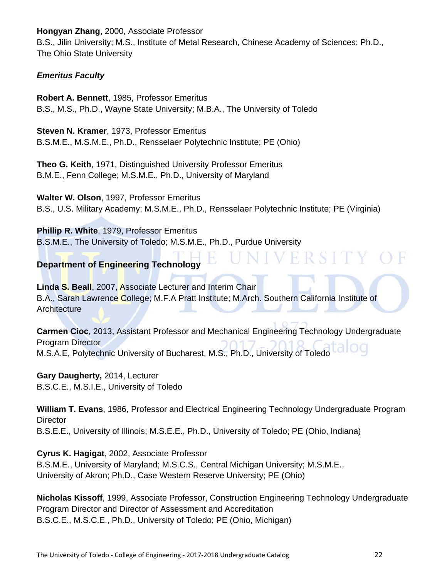**Hongyan Zhang**, 2000, Associate Professor

B.S., Jilin University; M.S., Institute of Metal Research, Chinese Academy of Sciences; Ph.D., The Ohio State University

## *Emeritus Faculty*

**Robert A. Bennett**, 1985, Professor Emeritus B.S., M.S., Ph.D., Wayne State University; M.B.A., The University of Toledo

**Steven N. Kramer**, 1973, Professor Emeritus B.S.M.E., M.S.M.E., Ph.D., Rensselaer Polytechnic Institute; PE (Ohio)

**Theo G. Keith**, 1971, Distinguished University Professor Emeritus B.M.E., Fenn College; M.S.M.E., Ph.D., University of Maryland

**Walter W. Olson**, 1997, Professor Emeritus B.S., U.S. Military Academy; M.S.M.E., Ph.D., Rensselaer Polytechnic Institute; PE (Virginia)

**Phillip R. White**, 1979, Professor Emeritus B.S.M.E., The University of Toledo; M.S.M.E., Ph.D., Purdue University

## **Department of Engineering Technology**

**Linda S. Beall**, 2007, Associate Lecturer and Interim Chair B.A., Sarah Lawrence College; M.F.A Pratt Institute; M.Arch. Southern California Institute of **Architecture** 

**Carmen Cioc**, 2013, Assistant Professor and Mechanical Engineering Technology Undergraduate Program Director M.S.A.E, Polytechnic University of Bucharest, M.S., Ph.D., University of Toledo

**Gary Daugherty,** 2014, Lecturer B.S.C.E., M.S.I.E., University of Toledo

**William T. Evans**, 1986, Professor and Electrical Engineering Technology Undergraduate Program **Director** 

B.S.E.E., University of Illinois; M.S.E.E., Ph.D., University of Toledo; PE (Ohio, Indiana)

**Cyrus K. Hagigat**, 2002, Associate Professor B.S.M.E., University of Maryland; M.S.C.S., Central Michigan University; M.S.M.E.,

University of Akron; Ph.D., Case Western Reserve University; PE (Ohio)

**Nicholas Kissoff**, 1999, Associate Professor, Construction Engineering Technology Undergraduate Program Director and Director of Assessment and Accreditation B.S.C.E., M.S.C.E., Ph.D., University of Toledo; PE (Ohio, Michigan)

ERSITY